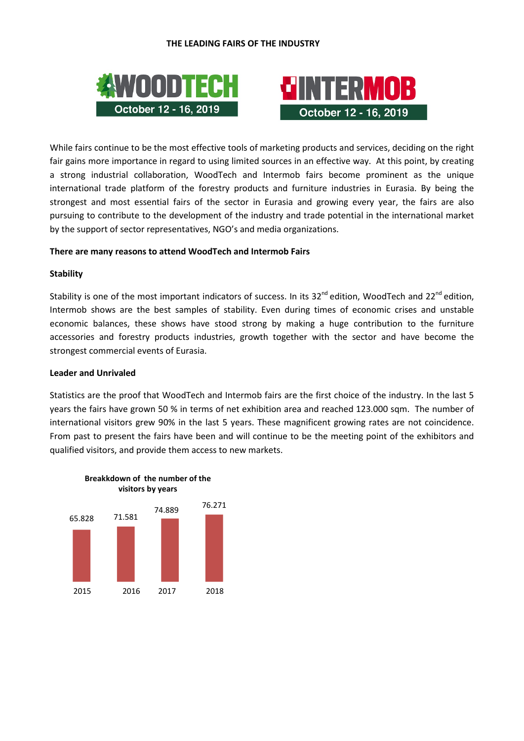



While fairs continue to be the most effective tools of marketing products and services, deciding on the right fair gains more importance in regard to using limited sources in an effective way. At this point, by creating a strong industrial collaboration, WoodTech and Intermob fairs become prominent as the unique international trade platform of the forestry products and furniture industries in Eurasia. By being the strongest and most essential fairs of the sector in Eurasia and growing every year, the fairs are also pursuing to contribute to the development of the industry and trade potential in the international market by the support of sector representatives, NGO's and media organizations.

#### **There are many reasons to attend WoodTech and Intermob Fairs**

#### **Stability**

Stability is one of the most important indicators of success. In its 32<sup>nd</sup> edition, WoodTech and 22<sup>nd</sup> edition, Intermob shows are the best samples of stability. Even during times of economic crises and unstable economic balances, these shows have stood strong by making a huge contribution to the furniture accessories and forestry products industries, growth together with the sector and have become the strongest commercial events of Eurasia.

#### **Leader and Unrivaled**

Statistics are the proof that WoodTech and Intermob fairs are the first choice of the industry. In the last 5 years the fairs have grown 50 % in terms of net exhibition area and reached 123.000 sqm. The number of international visitors grew 90% in the last 5 years. These magnificent growing rates are not coincidence. From past to present the fairs have been and will continue to be the meeting point of the exhibitors and qualified visitors, and provide them access to new markets.



**Breakkdown of the number of the**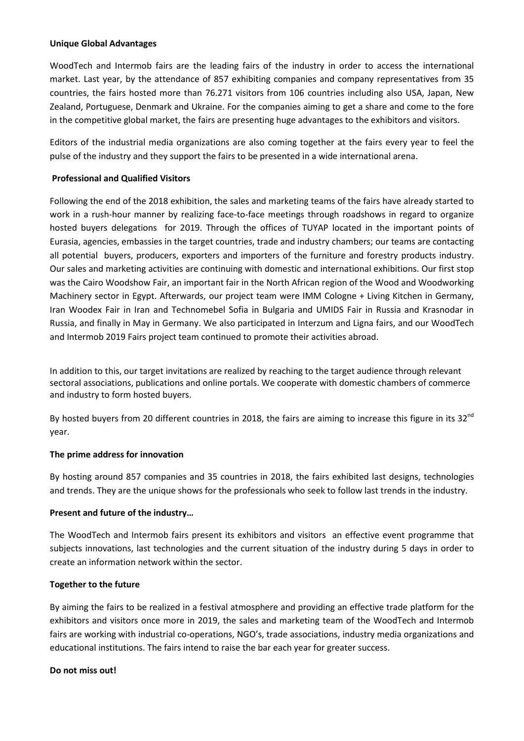# **Unique Global Advantages**

WoodTech and Intermob fairs are the leading fairs of the industry in order to access the international market. Last year, by the attendance of 857 exhibiting companies and company representatives from 35 countries, the fairs hosted more than 76.271 visitors from 106 countries including also USA, Japan, New Zealand, Portuguese, Denmark and Ukraine. For the companies aiming to get a share and come to the fore in the competitive global market, the fairs are presenting huge advantages to the exhibitors and visitors.

Editors of the industrial media organizations are also coming together at the fairs every year to feel the pulse of the industry and they support the fairs to be presented in a wide international arena.

# **Professional and Qualified Visitors**

Following the end of the 2018 exhibition, the sales and marketing teams of the fairs have already started to work in a rush-hour manner by realizing face-to-face meetings through roadshows in regard to organize hosted buyers delegations for 2019. Through the offices of TUYAP located in the important points of Eurasia, agencies, embassies in the target countries, trade and industry chambers; our teams are contacting all potential buyers, producers, exporters and importers of the furniture and forestry products industry. Our sales and marketing activities are continuing with domestic and international exhibitions. Our first stop was the Cairo Woodshow Fair, an important fair in the North African region of the Wood and Woodworking Machinery sector in Egypt. Afterwards, our project team were IMM Cologne + Living Kitchen in Germany, Iran Woodex Fair in Iran and Technomebel Sofia in Bulgaria and UMIDS Fair in Russia and Krasnodar in Russia, and finally in May in Germany. We also participated in Interzum and Ligna fairs, and our WoodTech and Intermob 2019 Fairs project team continued to promote their activities abroad.

In addition to this, our target invitations are realized by reaching to the target audience through relevant sectoral associations, publications and online portals. We cooperate with domestic chambers of commerce and industry to form hosted buyers.

By hosted buyers from 20 different countries in 2018, the fairs are aiming to increase this figure in its  $32^{nd}$ year.

# **The prime address for innovation**

By hosting around 857 companies and 35 countries in 2018, the fairs exhibited last designs, technologies and trends. They are the unique shows for the professionals who seek to follow last trends in the industry.

# **Present and future of the industry…**

The WoodTech and Intermob fairs present its exhibitors and visitors an effective event programme that subjects innovations, last technologies and the current situation of the industry during 5 days in order to create an information network within the sector.

# **Together to the future**

By aiming the fairs to be realized in a festival atmosphere and providing an effective trade platform for the exhibitors and visitors once more in 2019, the sales and marketing team of the WoodTech and Intermob fairs are working with industrial co-operations, NGO's, trade associations, industry media organizations and educational institutions. The fairs intend to raise the bar each year for greater success.

#### **Do not miss out!**